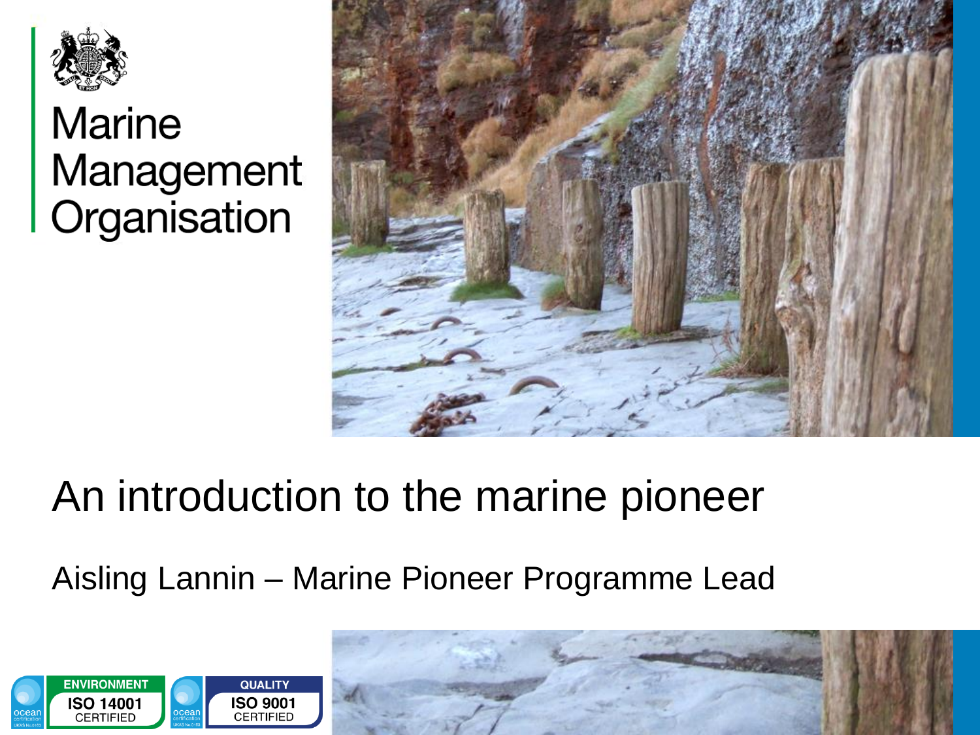

#### **Marine** Management Organisation



#### An introduction to the marine pioneer

#### Aisling Lannin – Marine Pioneer Programme Lead

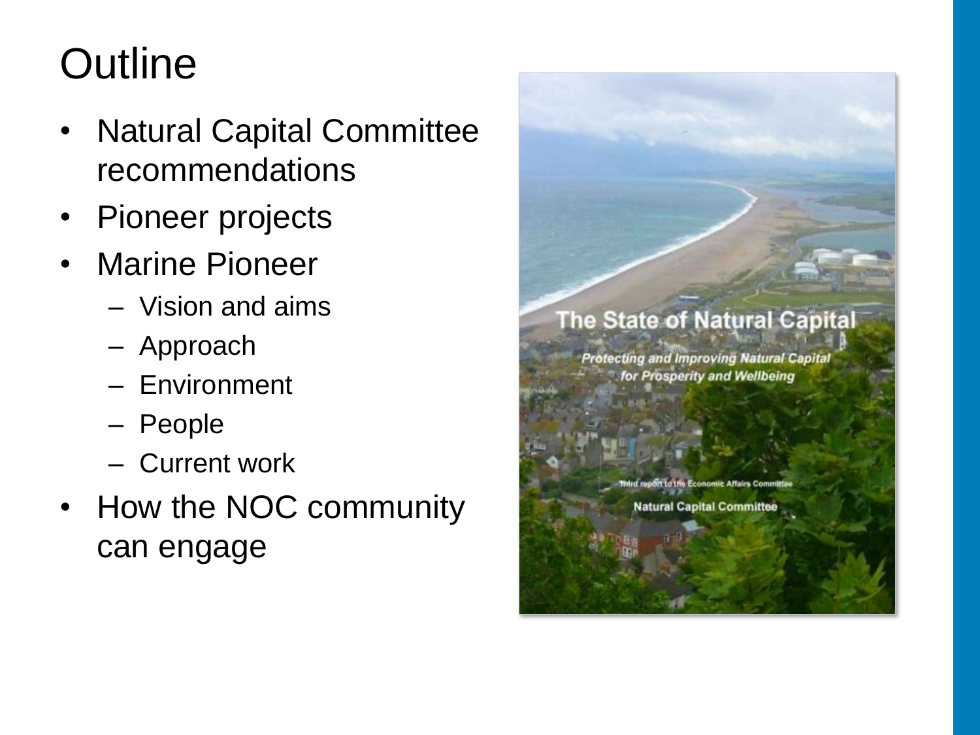# **Outline**

- Natural Capital Committee recommendations
- Pioneer projects
- Marine Pioneer
	- Vision and aims
	- Approach
	- Environment
	- People
	- Current work
- How the NOC community can engage

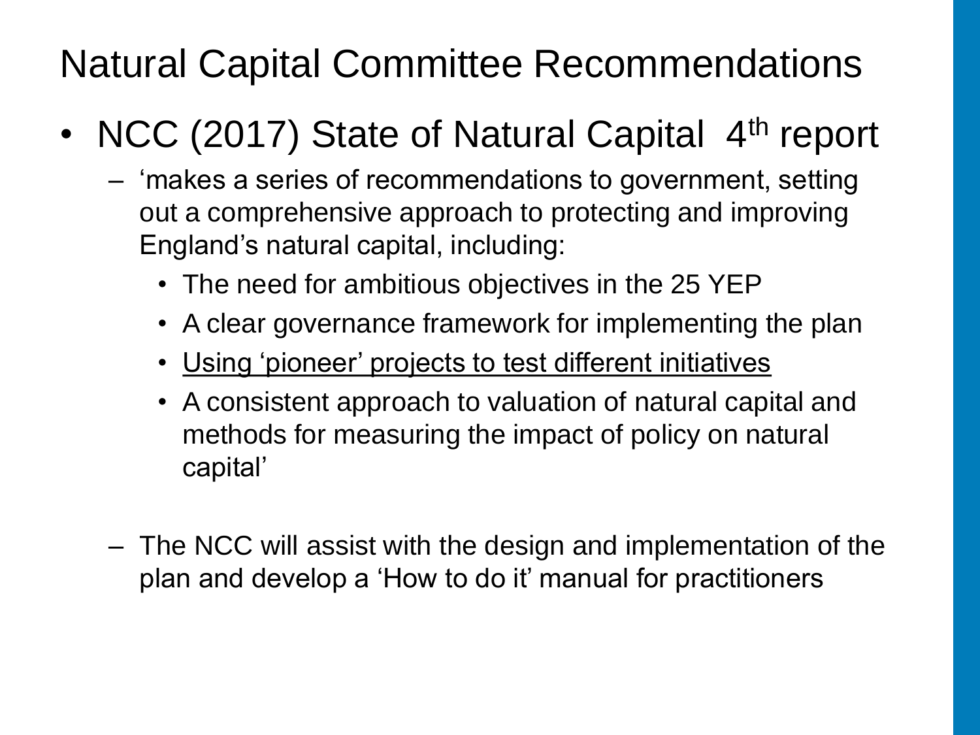Natural Capital Committee Recommendations

- NCC (2017) State of Natural Capital 4<sup>th</sup> report
	- 'makes a series of recommendations to government, setting out a comprehensive approach to protecting and improving England's natural capital, including:
		- The need for ambitious objectives in the 25 YEP
		- A clear governance framework for implementing the plan
		- Using 'pioneer' projects to test different initiatives
		- A consistent approach to valuation of natural capital and methods for measuring the impact of policy on natural capital'
	- The NCC will assist with the design and implementation of the plan and develop a 'How to do it' manual for practitioners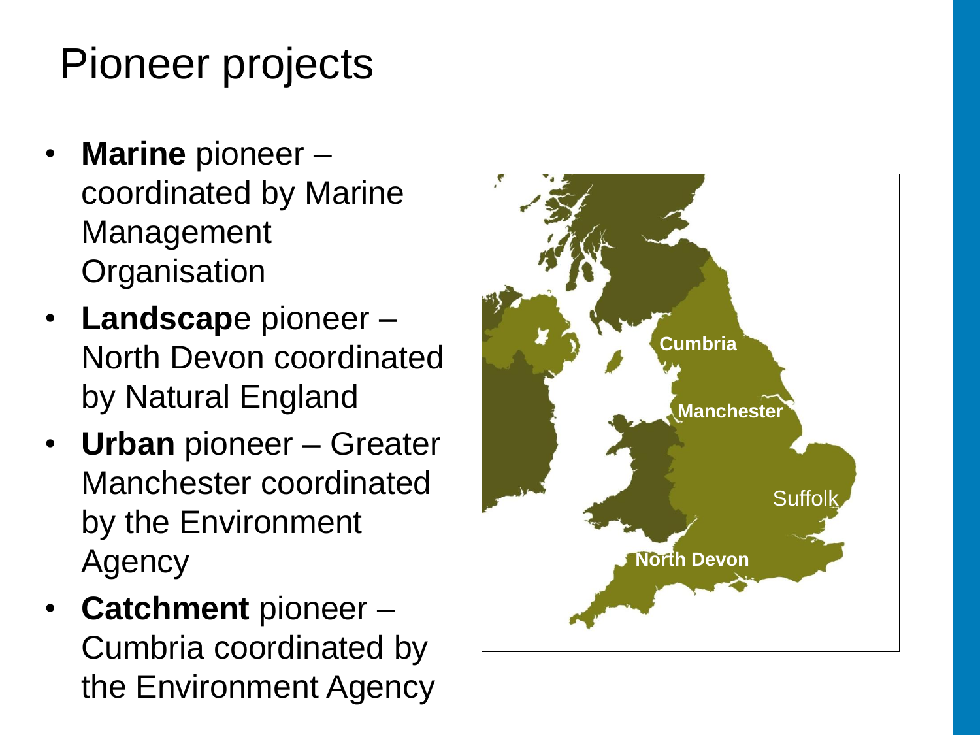# Pioneer projects

- **Marine** pioneer coordinated by Marine Management **Organisation**
- **Landscap**e pioneer North Devon coordinated by Natural England
- **Urban** pioneer Greater Manchester coordinated by the Environment Agency
- **Catchment** pioneer Cumbria coordinated by the Environment Agency

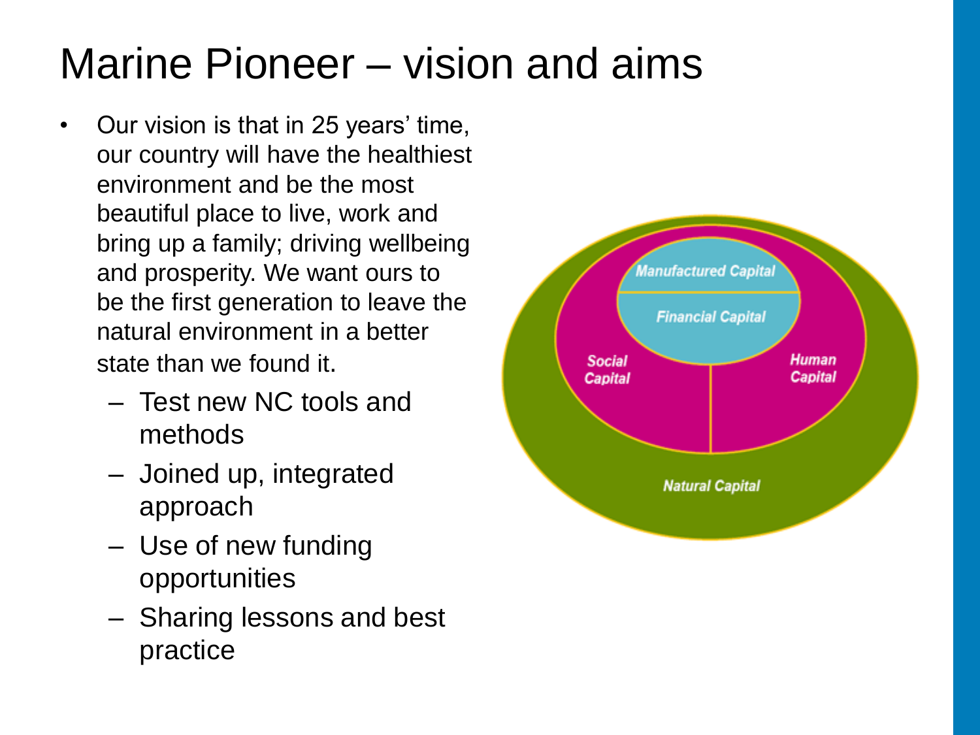# Marine Pioneer – vision and aims

- Our vision is that in 25 years' time, our country will have the healthiest environment and be the most beautiful place to live, work and bring up a family; driving wellbeing and prosperity. We want ours to be the first generation to leave the natural environment in a better state than we found it.
	- Test new NC tools and methods
	- Joined up, integrated approach
	- Use of new funding opportunities
	- Sharing lessons and best practice

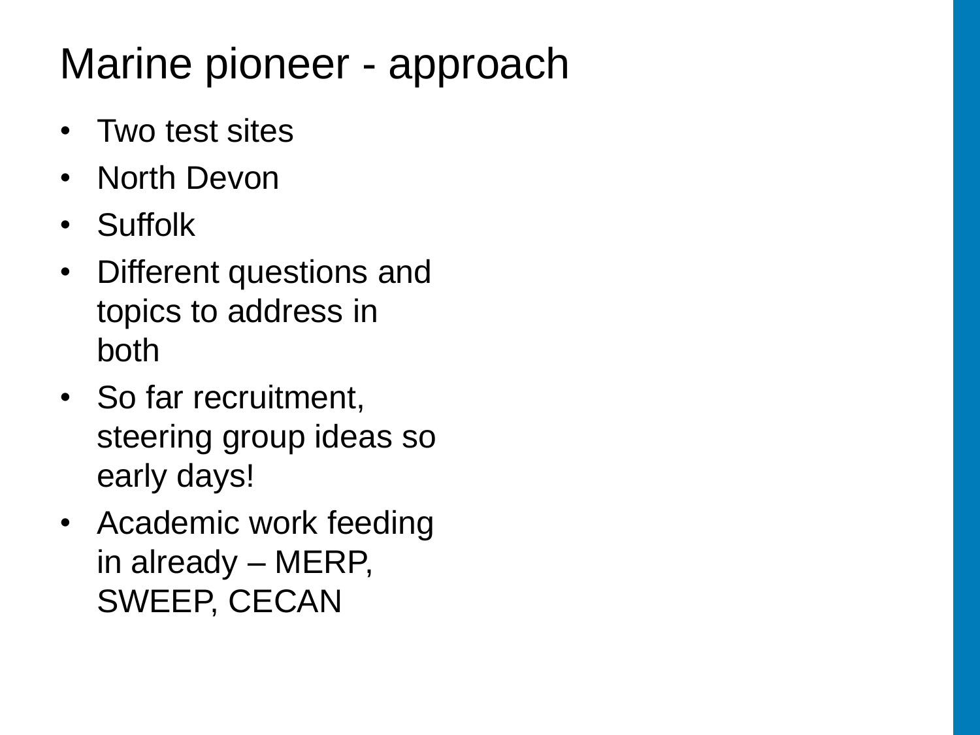# Marine pioneer - approach

- Two test sites
- North Devon
- Suffolk
- Different questions and topics to address in both
- So far recruitment, steering group ideas so early days!
- Academic work feeding in already – MERP, SWEEP, CECAN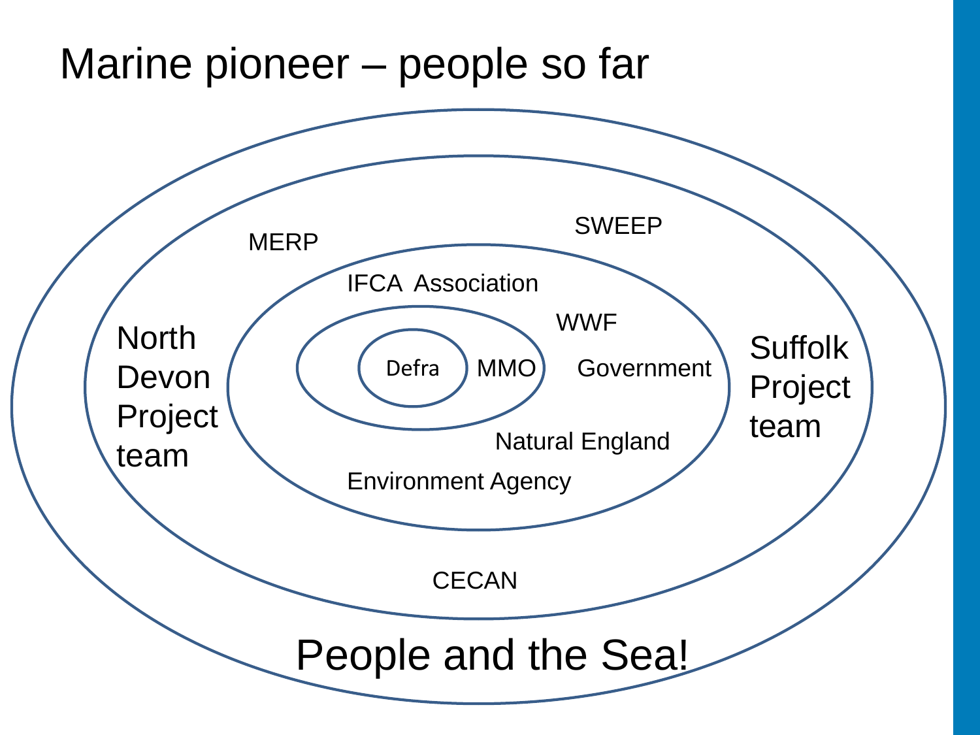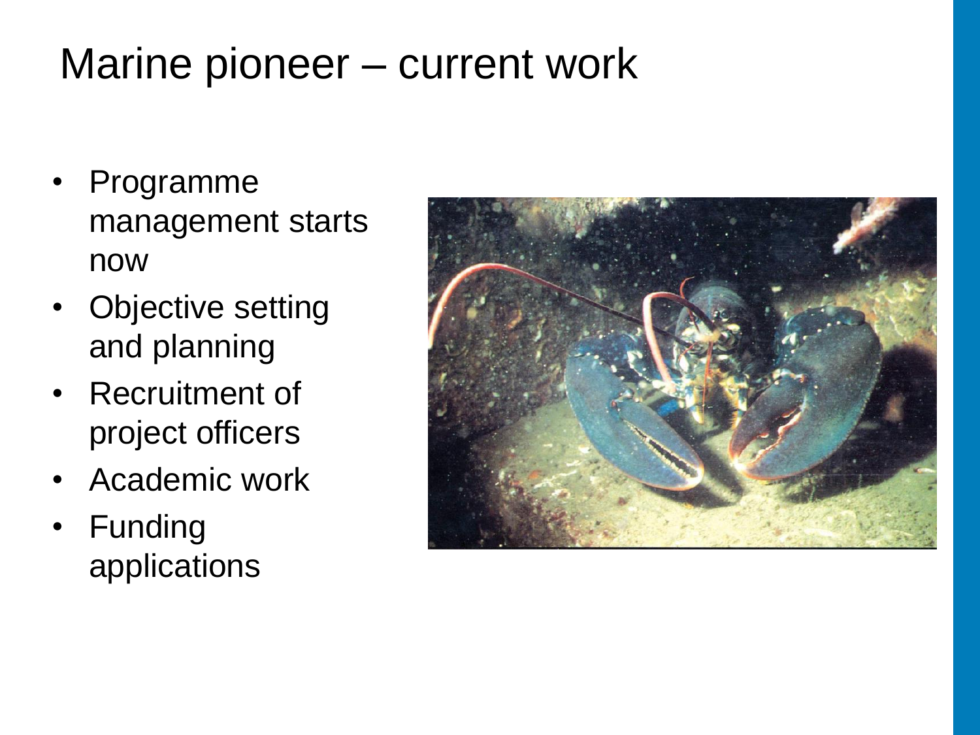### Marine pioneer – current work

- Programme management starts now
- Objective setting and planning
- Recruitment of project officers
- Academic work
- Funding applications

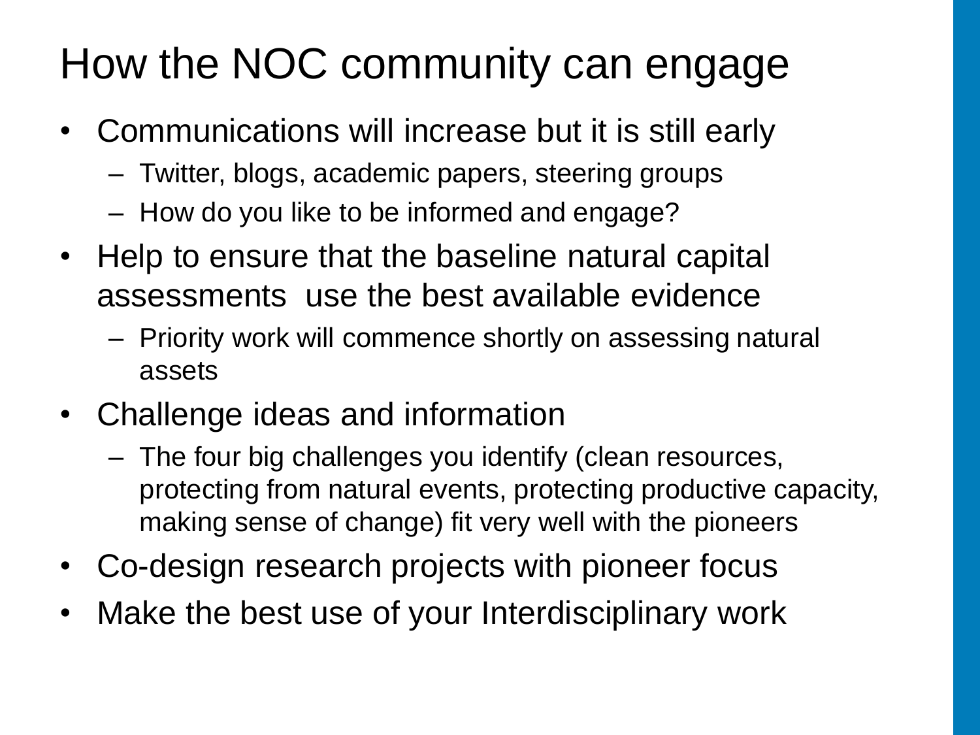# How the NOC community can engage

- Communications will increase but it is still early
	- Twitter, blogs, academic papers, steering groups
	- How do you like to be informed and engage?
- Help to ensure that the baseline natural capital assessments use the best available evidence
	- Priority work will commence shortly on assessing natural assets
- Challenge ideas and information
	- The four big challenges you identify (clean resources, protecting from natural events, protecting productive capacity, making sense of change) fit very well with the pioneers
- Co-design research projects with pioneer focus
- Make the best use of your Interdisciplinary work